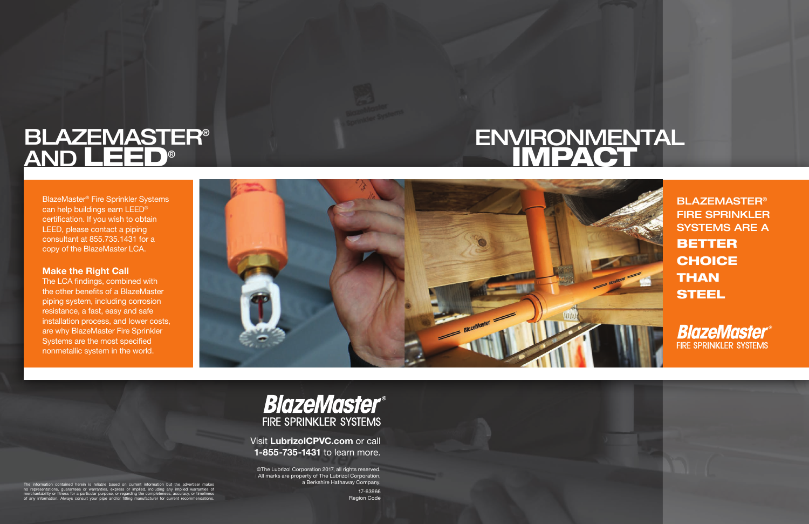# **ENVIRONMENTAL** IMPACT

BLAZEMASTER® FIRE SPRINKLER SYSTEMS ARE A BETTER **CHOICE THAN STEEL** 





# **BLAZEMASTER®** AND LEED®

BlazeMaster® Fire Sprinkler Systems can help buildings earn LEED® certification. If you wish to obtain LEED, please contact a piping consultant at 855.735.1431 for a copy of the BlazeMaster LCA.

#### **Make the Right Call**

The LCA findings, combined with the other benefits of a BlazeMaster piping system, including corrosion resistance, a fast, easy and safe installation process, and lower costs, are why BlazeMaster Fire Sprinkler Systems are the most specified nonmetallic system in the world.



## **BlazeMaster® FIRE SPRINKLER SYSTEMS**

Visit LubrizolCPVC.com or call 1-855-735-1431 to learn more.

©The Lubrizol Corporation 2017, all rights reserved. All marks are property of The Lubrizol Corporation, a Berkshire Hathaway Company.

> 17-63966 Region Code

The information contained herein is reliable based on current information but the advertiser makes no representations, guarantees or warranties, express or implied, including any implied warranties of is for a particular purpose, or regarding the co Always consult your pipe and/or fitting manufacturer for currer